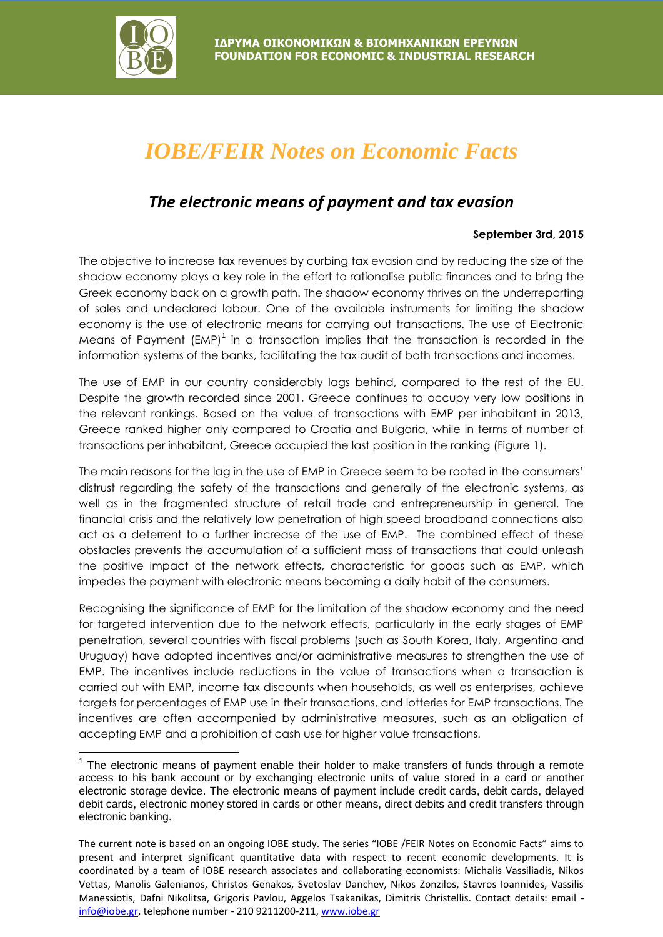

l

# *IOBE/FEIR Notes on Economic Facts*

## *The electronic means of payment and tax evasion*

### **September 3rd, 2015**

The objective to increase tax revenues by curbing tax evasion and by reducing the size of the shadow economy plays a key role in the effort to rationalise public finances and to bring the Greek economy back on a growth path. The shadow economy thrives on the underreporting of sales and undeclared labour. One of the available instruments for limiting the shadow economy is the use of electronic means for carrying out transactions. The use of Electronic Means of Payment  $[EMP]$ <sup>1</sup> in a transaction implies that the transaction is recorded in the information systems of the banks, facilitating the tax audit of both transactions and incomes.

The use of EMP in our country considerably lags behind, compared to the rest of the EU. Despite the growth recorded since 2001, Greece continues to occupy very low positions in the relevant rankings. Based on the value of transactions with EMP per inhabitant in 2013, Greece ranked higher only compared to Croatia and Bulgaria, while in terms of number of transactions per inhabitant, Greece occupied the last position in the ranking (Figure 1).

The main reasons for the lag in the use of EMP in Greece seem to be rooted in the consumers' distrust regarding the safety of the transactions and generally of the electronic systems, as well as in the fragmented structure of retail trade and entrepreneurship in general. The financial crisis and the relatively low penetration of high speed broadband connections also act as a deterrent to a further increase of the use of EMP. The combined effect of these obstacles prevents the accumulation of a sufficient mass of transactions that could unleash the positive impact of the network effects, characteristic for goods such as EMP, which impedes the payment with electronic means becoming a daily habit of the consumers.

Recognising the significance of EMP for the limitation of the shadow economy and the need for targeted intervention due to the network effects, particularly in the early stages of EMP penetration, several countries with fiscal problems (such as South Korea, Italy, Argentina and Uruguay) have adopted incentives and/or administrative measures to strengthen the use of EMP. The incentives include reductions in the value of transactions when a transaction is carried out with EMP, income tax discounts when households, as well as enterprises, achieve targets for percentages of EMP use in their transactions, and lotteries for EMP transactions. The incentives are often accompanied by administrative measures, such as an obligation of accepting EMP and a prohibition of cash use for higher value transactions.

 $1$  The electronic means of payment enable their holder to make transfers of funds through a remote access to his bank account or by exchanging electronic units of value stored in a card or another electronic storage device. The electronic means of payment include credit cards, debit cards, delayed debit cards, electronic money stored in cards or other means, direct debits and credit transfers through electronic banking.

The current note is based on an ongoing IOBE study. The series "IOBE /FEIR Notes on Economic Facts" aims to present and interpret significant quantitative data with respect to recent economic developments. It is coordinated by a team of IOBE research associates and collaborating economists: Michalis Vassiliadis, Nikos Vettas, Manolis Galenianos, Christos Genakos, Svetoslav Danchev, Nikos Zonzilos, Stavros Ioannides, Vassilis Manessiotis, Dafni Nikolitsa, Grigoris Pavlou, Aggelos Tsakanikas, Dimitris Christellis. Contact details: email info@iobe.gr, telephone number - 210 9211200-211, www.iobe.gr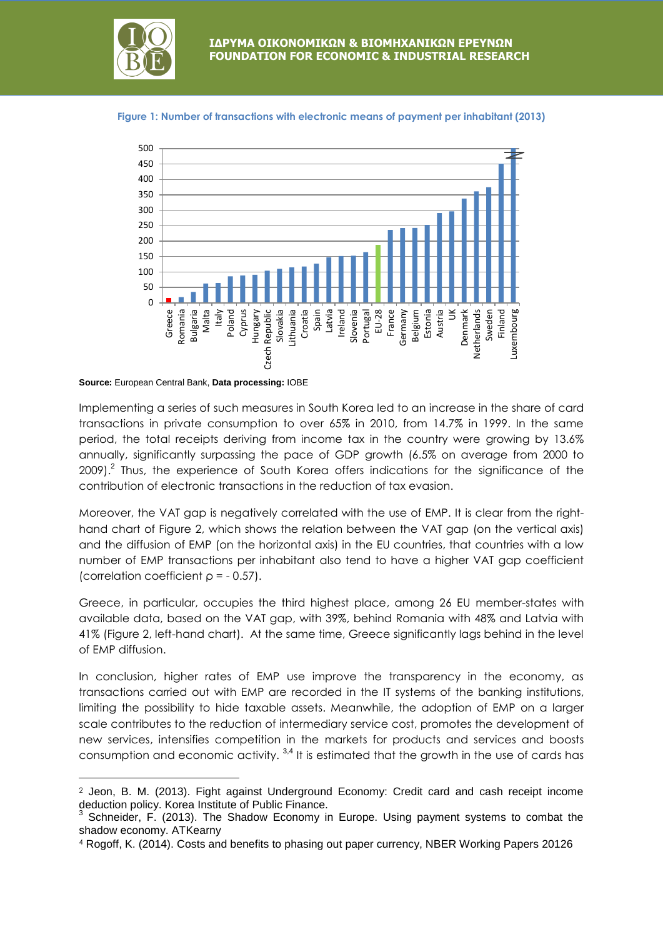

#### **Figure 1: Number of transactions with electronic means of payment per inhabitant (2013)**



**Source:** European Central Bank, **Data processing:** IOBE

l

Implementing a series of such measures in South Korea led to an increase in the share of card transactions in private consumption to over 65% in 2010, from 14.7% in 1999. In the same period, the total receipts deriving from income tax in the country were growing by 13.6% annually, significantly surpassing the pace of GDP growth (6.5% on average from 2000 to 2009). $^2$  Thus, the experience of South Korea offers indications for the significance of the contribution of electronic transactions in the reduction of tax evasion.

Moreover, the VAT gap is negatively correlated with the use of EMP. It is clear from the righthand chart of Figure 2, which shows the relation between the VAT gap (on the vertical axis) and the diffusion of EMP (on the horizontal axis) in the EU countries, that countries with a low number of EMP transactions per inhabitant also tend to have a higher VAT gap coefficient (correlation coefficient  $\rho = -0.57$ ).

Greece, in particular, occupies the third highest place, among 26 EU member-states with available data, based on the VAT gap, with 39%, behind Romania with 48% and Latvia with 41% (Figure 2, left-hand chart). At the same time, Greece significantly lags behind in the level of EMP diffusion.

In conclusion, higher rates of EMP use improve the transparency in the economy, as transactions carried out with EMP are recorded in the IT systems of the banking institutions, limiting the possibility to hide taxable assets. Meanwhile, the adoption of EMP on a larger scale contributes to the reduction of intermediary service cost, promotes the development of new services, intensifies competition in the markets for products and services and boosts consumption and economic activity.  $^{3,4}$  It is estimated that the growth in the use of cards has

<sup>2</sup> Jeon, B. M. (2013). Fight against Underground Economy: Credit card and cash receipt income deduction policy. Korea Institute of Public Finance.

 $3$  Schneider, F. (2013). The Shadow Economy in Europe. Using payment systems to combat the shadow economy. ATKearny

<sup>4</sup> Rogoff, K. (2014). Costs and benefits to phasing out paper currency, NBER Working Papers 20126